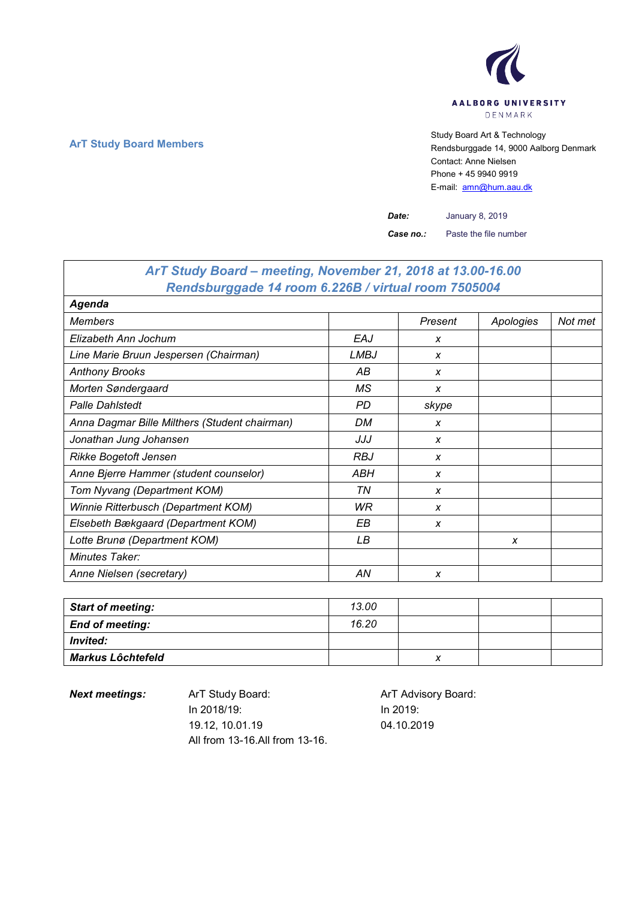

## **ArT Study Board Members** Study Board Art & Technology **Art Study Board Art & Technology** Rendsburggade 14, 9000 Aalborg Denmark Contact: Anne Nielsen Phone + 45 9940 9919 E-mail: [amn@hum.aau.dk](mailto:amn@hum.aau.dk)

*Date:* January 8, 2019

*Case no.:* Paste the file number

| ArT Study Board – meeting, November 21, 2018 at 13.00-16.00 |             |         |           |         |
|-------------------------------------------------------------|-------------|---------|-----------|---------|
| Rendsburggade 14 room 6.226B / virtual room 7505004         |             |         |           |         |
| <b>Agenda</b>                                               |             |         |           |         |
| <b>Members</b>                                              |             | Present | Apologies | Not met |
| Elizabeth Ann Jochum                                        | EAJ         | X       |           |         |
| Line Marie Bruun Jespersen (Chairman)                       | <b>LMBJ</b> | X       |           |         |
| <b>Anthony Brooks</b>                                       | АB          | X       |           |         |
| Morten Søndergaard                                          | МS          | X       |           |         |
| <b>Palle Dahistedt</b>                                      | PD          | skype   |           |         |
| Anna Dagmar Bille Milthers (Student chairman)               | DM          | X       |           |         |
| Jonathan Jung Johansen                                      | JJJ         | X       |           |         |
| <b>Rikke Bogetoft Jensen</b>                                | <b>RBJ</b>  | X       |           |         |
| Anne Bjerre Hammer (student counselor)                      | ABH         | X       |           |         |
| Tom Nyvang (Department KOM)                                 | ΤN          | X       |           |         |
| Winnie Ritterbusch (Department KOM)                         | WR          | X       |           |         |
| Elsebeth Bækgaard (Department KOM)                          | EВ          | X       |           |         |
| Lotte Brunø (Department KOM)                                | LВ          |         | X         |         |
| Minutes Taker:                                              |             |         |           |         |
| Anne Nielsen (secretary)                                    | AN          | X       |           |         |

| <b>Start of meeting:</b> | 13.00 |   |  |
|--------------------------|-------|---|--|
| <b>End of meeting:</b>   | 16.20 |   |  |
| <b>Invited:</b>          |       |   |  |
| <b>Markus Lôchtefeld</b> |       | х |  |

**Next meetings:** ArT Study Board: ArT Advisory Board: In 2018/19: 19.12, 10.01.19 All from 13-16.All from 13-16.

In 2019: 04.10.2019

 $\overline{1}$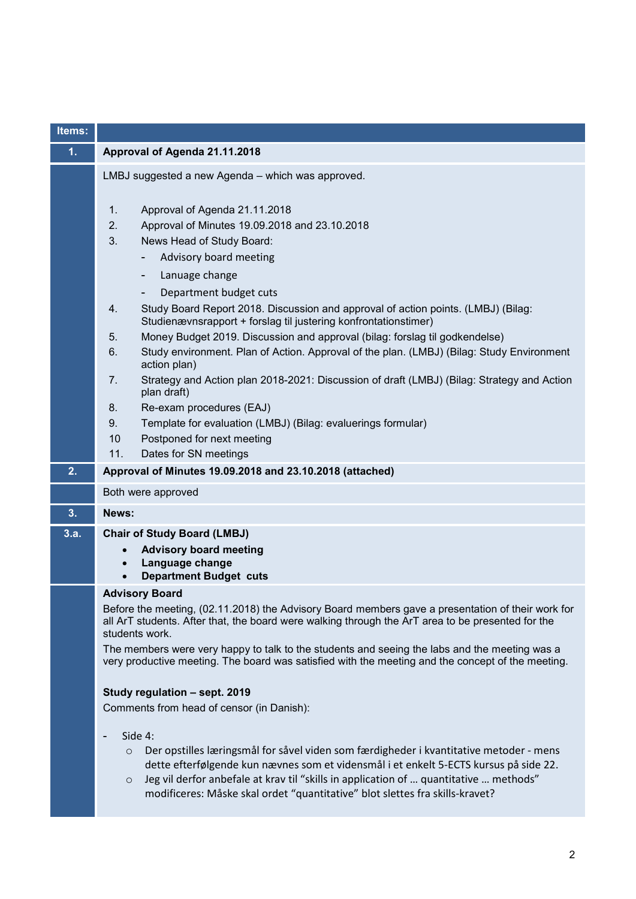| Items: |                                                                                                                                                                                                                                                                                                                                                                                                                                                                                                    |
|--------|----------------------------------------------------------------------------------------------------------------------------------------------------------------------------------------------------------------------------------------------------------------------------------------------------------------------------------------------------------------------------------------------------------------------------------------------------------------------------------------------------|
| 1.     | Approval of Agenda 21.11.2018                                                                                                                                                                                                                                                                                                                                                                                                                                                                      |
|        | LMBJ suggested a new Agenda - which was approved.                                                                                                                                                                                                                                                                                                                                                                                                                                                  |
|        | 1.<br>Approval of Agenda 21.11.2018<br>2.<br>Approval of Minutes 19.09.2018 and 23.10.2018<br>3.<br>News Head of Study Board:<br>Advisory board meeting<br>Lanuage change<br>Department budget cuts<br>Study Board Report 2018. Discussion and approval of action points. (LMBJ) (Bilag:<br>4.                                                                                                                                                                                                     |
|        | Studienævnsrapport + forslag til justering konfrontationstimer)<br>Money Budget 2019. Discussion and approval (bilag: forslag til godkendelse)<br>5.<br>6.<br>Study environment. Plan of Action. Approval of the plan. (LMBJ) (Bilag: Study Environment<br>action plan)<br>7.<br>Strategy and Action plan 2018-2021: Discussion of draft (LMBJ) (Bilag: Strategy and Action<br>plan draft)<br>Re-exam procedures (EAJ)<br>8.<br>9.<br>Template for evaluation (LMBJ) (Bilag: evaluerings formular) |
|        | 10<br>Postponed for next meeting                                                                                                                                                                                                                                                                                                                                                                                                                                                                   |
| 2.     | 11.<br>Dates for SN meetings<br>Approval of Minutes 19.09.2018 and 23.10.2018 (attached)                                                                                                                                                                                                                                                                                                                                                                                                           |
|        |                                                                                                                                                                                                                                                                                                                                                                                                                                                                                                    |
|        | Both were approved                                                                                                                                                                                                                                                                                                                                                                                                                                                                                 |
| 3.     | News:                                                                                                                                                                                                                                                                                                                                                                                                                                                                                              |
| 3.a.   | <b>Chair of Study Board (LMBJ)</b><br><b>Advisory board meeting</b><br>Language change<br><b>Department Budget cuts</b>                                                                                                                                                                                                                                                                                                                                                                            |
|        | <b>Advisory Board</b><br>Before the meeting, (02.11.2018) the Advisory Board members gave a presentation of their work for<br>all ArT students. After that, the board were walking through the ArT area to be presented for the<br>students work.<br>The members were very happy to talk to the students and seeing the labs and the meeting was a<br>very productive meeting. The board was satisfied with the meeting and the concept of the meeting.                                            |
|        | Study regulation - sept. 2019<br>Comments from head of censor (in Danish):<br>Side 4:<br>Der opstilles læringsmål for såvel viden som færdigheder i kvantitative metoder - mens<br>$\circ$<br>dette efterfølgende kun nævnes som et vidensmål i et enkelt 5-ECTS kursus på side 22.<br>Jeg vil derfor anbefale at krav til "skills in application of  quantitative  methods"<br>$\circ$<br>modificeres: Måske skal ordet "quantitative" blot slettes fra skills-kravet?                            |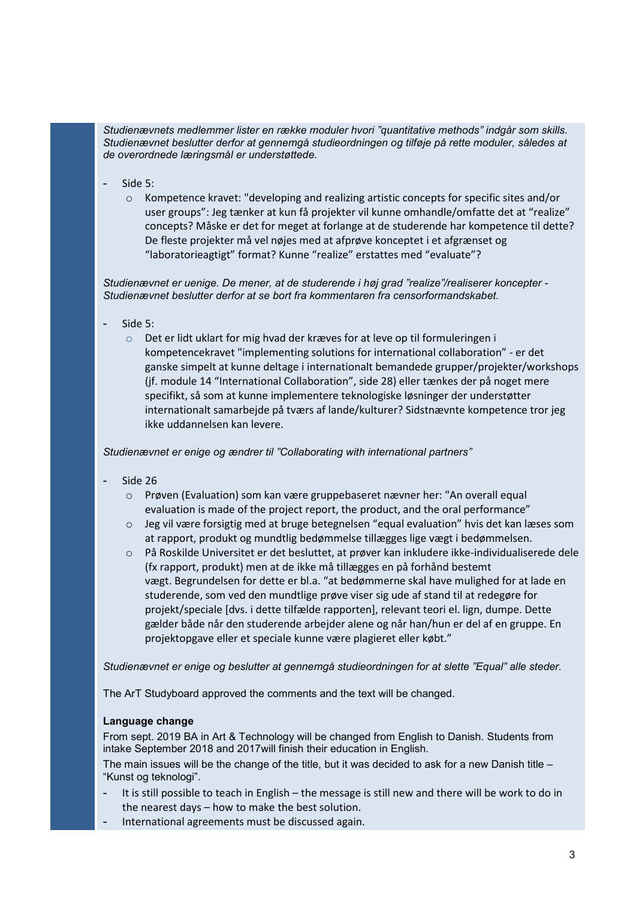*Studienævnets medlemmer lister en række moduler hvori "quantitative methods" indgår som skills. Studienævnet beslutter derfor at gennemgå studieordningen og tilføje på rette moduler, således at de overordnede læringsmål er understøttede.*

- Side 5:
	- $\circ$  Kompetence kravet: "developing and realizing artistic concepts for specific sites and/or user groups": Jeg tænker at kun få projekter vil kunne omhandle/omfatte det at "realize" concepts? Måske er det for meget at forlange at de studerende har kompetence til dette? De fleste projekter må vel nøjes med at afprøve konceptet i et afgrænset og "laboratorieagtigt" format? Kunne "realize" erstattes med "evaluate"?

*Studienævnet er uenige. De mener, at de studerende i høj grad "realize"/realiserer koncepter - Studienævnet beslutter derfor at se bort fra kommentaren fra censorformandskabet.* 

- $Sida 5$ 
	- $\circ$  Det er lidt uklart for mig hvad der kræves for at leve op til formuleringen i kompetencekravet "implementing solutions for international collaboration" - er det ganske simpelt at kunne deltage i internationalt bemandede grupper/projekter/workshops (jf. module 14 "International Collaboration", side 28) eller tænkes der på noget mere specifikt, så som at kunne implementere teknologiske løsninger der understøtter internationalt samarbejde på tværs af lande/kulturer? Sidstnævnte kompetence tror jeg ikke uddannelsen kan levere.

*Studienævnet er enige og ændrer til "Collaborating with international partners"*

- Side 26
	- o Prøven (Evaluation) som kan være gruppebaseret nævner her: "An overall equal evaluation is made of the project report, the product, and the oral performance"
	- $\circ$  Jeg vil være forsigtig med at bruge betegnelsen "equal evaluation" hvis det kan læses som at rapport, produkt og mundtlig bedømmelse tillægges lige vægt i bedømmelsen.
	- o På Roskilde Universitet er det besluttet, at prøver kan inkludere ikke-individualiserede dele (fx rapport, produkt) men at de ikke må tillægges en på forhånd bestemt vægt. Begrundelsen for dette er bl.a. "at bedømmerne skal have mulighed for at lade en studerende, som ved den mundtlige prøve viser sig ude af stand til at redegøre for projekt/speciale [dvs. i dette tilfælde rapporten], relevant teori el. lign, dumpe. Dette gælder både når den studerende arbejder alene og når han/hun er del af en gruppe. En projektopgave eller et speciale kunne være plagieret eller købt."

*Studienævnet er enige og beslutter at gennemgå studieordningen for at slette "Equal" alle steder.*

The ArT Studyboard approved the comments and the text will be changed.

## **Language change**

From sept. 2019 BA in Art & Technology will be changed from English to Danish. Students from intake September 2018 and 2017will finish their education in English.

The main issues will be the change of the title, but it was decided to ask for a new Danish title – "Kunst og teknologi".

- It is still possible to teach in English the message is still new and there will be work to do in the nearest days – how to make the best solution.
- International agreements must be discussed again.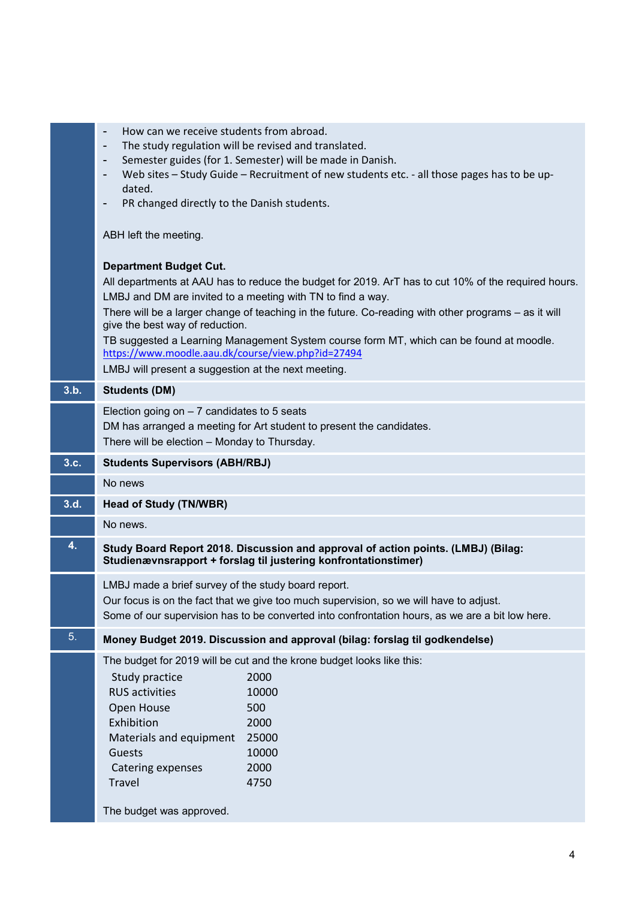|      | How can we receive students from abroad.<br>$\overline{\phantom{a}}$ |                                                                                                                                                      |
|------|----------------------------------------------------------------------|------------------------------------------------------------------------------------------------------------------------------------------------------|
|      | -                                                                    | The study regulation will be revised and translated.<br>Semester guides (for 1. Semester) will be made in Danish.                                    |
|      | -                                                                    | Web sites - Study Guide - Recruitment of new students etc. - all those pages has to be up-                                                           |
|      | dated.                                                               |                                                                                                                                                      |
|      | PR changed directly to the Danish students.                          |                                                                                                                                                      |
|      |                                                                      |                                                                                                                                                      |
|      | ABH left the meeting.                                                |                                                                                                                                                      |
|      | <b>Department Budget Cut.</b>                                        |                                                                                                                                                      |
|      |                                                                      | All departments at AAU has to reduce the budget for 2019. ArT has to cut 10% of the required hours.                                                  |
|      |                                                                      | LMBJ and DM are invited to a meeting with TN to find a way.                                                                                          |
|      | give the best way of reduction.                                      | There will be a larger change of teaching in the future. Co-reading with other programs - as it will                                                 |
|      | https://www.moodle.aau.dk/course/view.php?id=27494                   | TB suggested a Learning Management System course form MT, which can be found at moodle.                                                              |
|      | LMBJ will present a suggestion at the next meeting.                  |                                                                                                                                                      |
| 3.b. | <b>Students (DM)</b>                                                 |                                                                                                                                                      |
|      | Election going on $-7$ candidates to 5 seats                         |                                                                                                                                                      |
|      |                                                                      | DM has arranged a meeting for Art student to present the candidates.                                                                                 |
|      | There will be election - Monday to Thursday.                         |                                                                                                                                                      |
| 3.c. | <b>Students Supervisors (ABH/RBJ)</b>                                |                                                                                                                                                      |
|      | No news                                                              |                                                                                                                                                      |
| 3.d. | <b>Head of Study (TN/WBR)</b>                                        |                                                                                                                                                      |
|      | No news.                                                             |                                                                                                                                                      |
| 4.   |                                                                      | Study Board Report 2018. Discussion and approval of action points. (LMBJ) (Bilag:<br>Studienævnsrapport + forslag til justering konfrontationstimer) |
|      | LMBJ made a brief survey of the study board report.                  |                                                                                                                                                      |
|      |                                                                      | Our focus is on the fact that we give too much supervision, so we will have to adjust.                                                               |
|      |                                                                      | Some of our supervision has to be converted into confrontation hours, as we are a bit low here.                                                      |
| 5.   |                                                                      | Money Budget 2019. Discussion and approval (bilag: forslag til godkendelse)                                                                          |
|      |                                                                      | The budget for 2019 will be cut and the krone budget looks like this:                                                                                |
|      | Study practice                                                       | 2000                                                                                                                                                 |
|      | <b>RUS</b> activities                                                | 10000                                                                                                                                                |
|      | Open House                                                           | 500                                                                                                                                                  |
|      | Exhibition                                                           | 2000                                                                                                                                                 |
|      | Materials and equipment                                              | 25000                                                                                                                                                |
|      | Guests                                                               | 10000                                                                                                                                                |
|      |                                                                      |                                                                                                                                                      |
|      | Catering expenses                                                    | 2000                                                                                                                                                 |
|      | Travel<br>The budget was approved.                                   | 4750                                                                                                                                                 |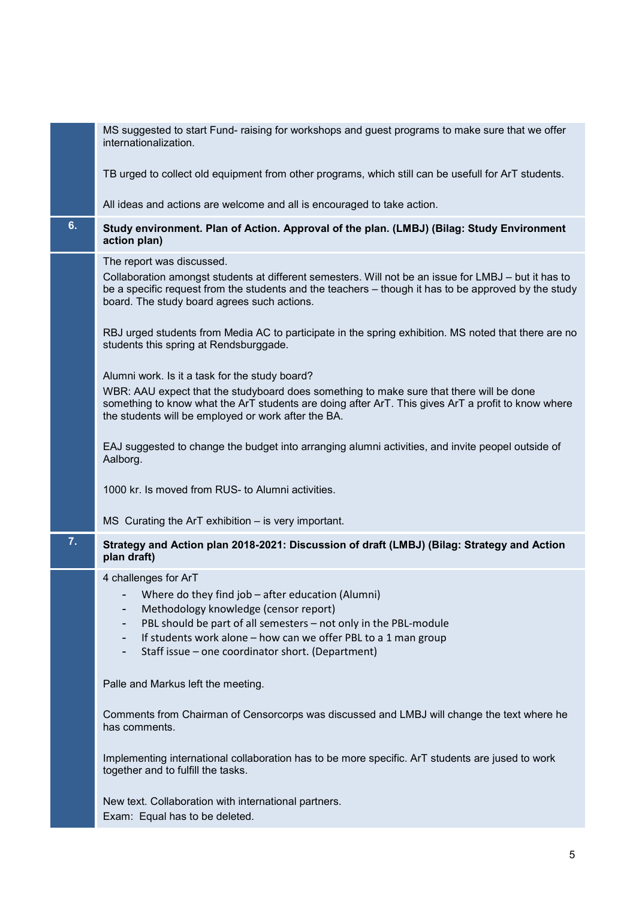|    | MS suggested to start Fund- raising for workshops and guest programs to make sure that we offer<br>internationalization.                                                                                                                                                                 |
|----|------------------------------------------------------------------------------------------------------------------------------------------------------------------------------------------------------------------------------------------------------------------------------------------|
|    | TB urged to collect old equipment from other programs, which still can be usefull for ArT students.                                                                                                                                                                                      |
|    | All ideas and actions are welcome and all is encouraged to take action.                                                                                                                                                                                                                  |
| 6. | Study environment. Plan of Action. Approval of the plan. (LMBJ) (Bilag: Study Environment<br>action plan)                                                                                                                                                                                |
|    | The report was discussed.<br>Collaboration amongst students at different semesters. Will not be an issue for LMBJ - but it has to<br>be a specific request from the students and the teachers – though it has to be approved by the study<br>board. The study board agrees such actions. |
|    | RBJ urged students from Media AC to participate in the spring exhibition. MS noted that there are no<br>students this spring at Rendsburggade.                                                                                                                                           |
|    | Alumni work. Is it a task for the study board?                                                                                                                                                                                                                                           |
|    | WBR: AAU expect that the studyboard does something to make sure that there will be done<br>something to know what the ArT students are doing after ArT. This gives ArT a profit to know where<br>the students will be employed or work after the BA.                                     |
|    | EAJ suggested to change the budget into arranging alumni activities, and invite peopel outside of<br>Aalborg.                                                                                                                                                                            |
|    | 1000 kr. Is moved from RUS- to Alumni activities.                                                                                                                                                                                                                                        |
|    | $MS$ Curating the ArT exhibition $-$ is very important.                                                                                                                                                                                                                                  |
| 7. | Strategy and Action plan 2018-2021: Discussion of draft (LMBJ) (Bilag: Strategy and Action<br>plan draft)                                                                                                                                                                                |
|    | 4 challenges for ArT                                                                                                                                                                                                                                                                     |
|    | Where do they find job $-$ after education (Alumni)                                                                                                                                                                                                                                      |
|    | Methodology knowledge (censor report)                                                                                                                                                                                                                                                    |
|    | PBL should be part of all semesters - not only in the PBL-module                                                                                                                                                                                                                         |
|    | If students work alone - how can we offer PBL to a 1 man group<br>Staff issue - one coordinator short. (Department)<br>-                                                                                                                                                                 |
|    | Palle and Markus left the meeting.                                                                                                                                                                                                                                                       |
|    | Comments from Chairman of Censorcorps was discussed and LMBJ will change the text where he<br>has comments.                                                                                                                                                                              |
|    | Implementing international collaboration has to be more specific. ArT students are jused to work<br>together and to fulfill the tasks.                                                                                                                                                   |
|    | New text. Collaboration with international partners.<br>Exam: Equal has to be deleted.                                                                                                                                                                                                   |
|    |                                                                                                                                                                                                                                                                                          |